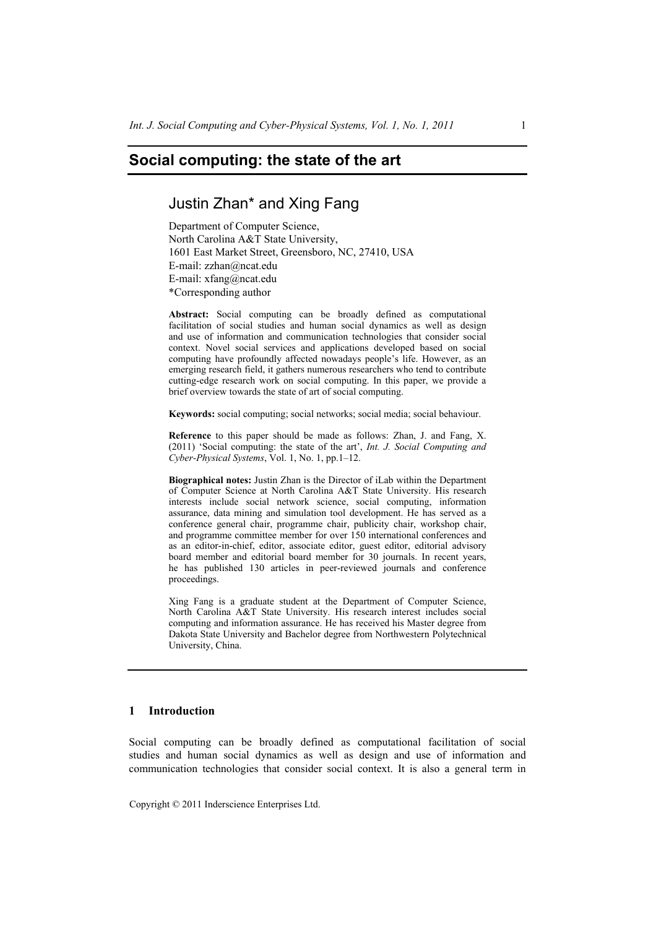# **Social computing: the state of the art**

# Justin Zhan\* and Xing Fang

Department of Computer Science, North Carolina A&T State University, 1601 East Market Street, Greensboro, NC, 27410, USA E-mail: zzhan@ncat.edu E-mail: xfang@ncat.edu \*Corresponding author

**Abstract:** Social computing can be broadly defined as computational facilitation of social studies and human social dynamics as well as design and use of information and communication technologies that consider social context. Novel social services and applications developed based on social computing have profoundly affected nowadays people's life. However, as an emerging research field, it gathers numerous researchers who tend to contribute cutting-edge research work on social computing. In this paper, we provide a brief overview towards the state of art of social computing.

**Keywords:** social computing; social networks; social media; social behaviour.

**Reference** to this paper should be made as follows: Zhan, J. and Fang, X. (2011) 'Social computing: the state of the art', *Int. J. Social Computing and Cyber-Physical Systems*, Vol. 1, No. 1, pp.1–12.

**Biographical notes:** Justin Zhan is the Director of iLab within the Department of Computer Science at North Carolina A&T State University. His research interests include social network science, social computing, information assurance, data mining and simulation tool development. He has served as a conference general chair, programme chair, publicity chair, workshop chair, and programme committee member for over 150 international conferences and as an editor-in-chief, editor, associate editor, guest editor, editorial advisory board member and editorial board member for 30 journals. In recent years, he has published 130 articles in peer-reviewed journals and conference proceedings.

Xing Fang is a graduate student at the Department of Computer Science, North Carolina A&T State University. His research interest includes social computing and information assurance. He has received his Master degree from Dakota State University and Bachelor degree from Northwestern Polytechnical University, China.

#### **1 Introduction**

Social computing can be broadly defined as computational facilitation of social studies and human social dynamics as well as design and use of information and communication technologies that consider social context. It is also a general term in

Copyright © 2011 Inderscience Enterprises Ltd.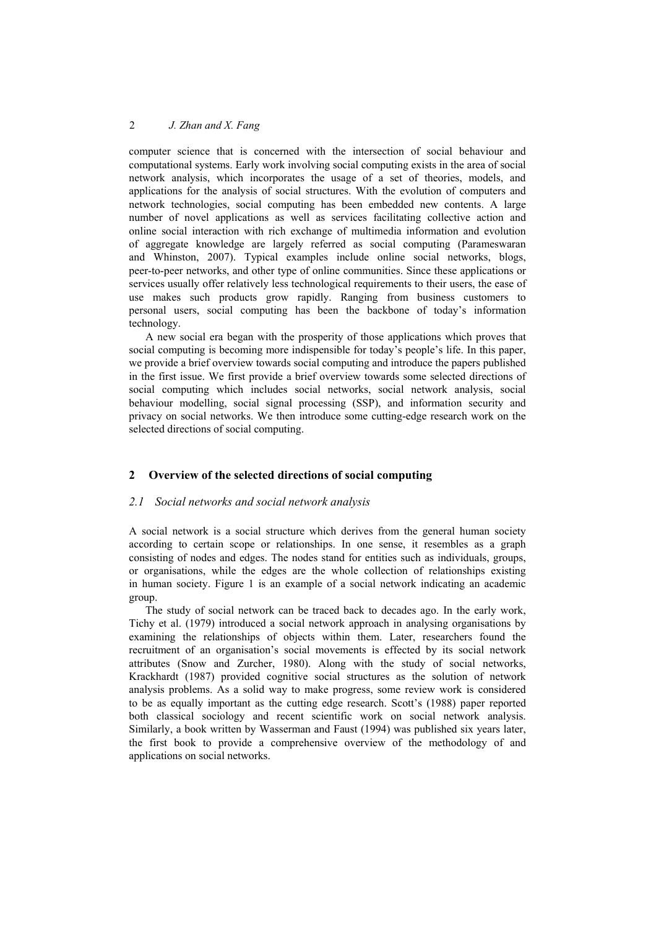computer science that is concerned with the intersection of social behaviour and computational systems. Early work involving social computing exists in the area of social network analysis, which incorporates the usage of a set of theories, models, and applications for the analysis of social structures. With the evolution of computers and network technologies, social computing has been embedded new contents. A large number of novel applications as well as services facilitating collective action and online social interaction with rich exchange of multimedia information and evolution of aggregate knowledge are largely referred as social computing (Parameswaran and Whinston, 2007). Typical examples include online social networks, blogs, peer-to-peer networks, and other type of online communities. Since these applications or services usually offer relatively less technological requirements to their users, the ease of use makes such products grow rapidly. Ranging from business customers to personal users, social computing has been the backbone of today's information technology.

A new social era began with the prosperity of those applications which proves that social computing is becoming more indispensible for today's people's life. In this paper, we provide a brief overview towards social computing and introduce the papers published in the first issue. We first provide a brief overview towards some selected directions of social computing which includes social networks, social network analysis, social behaviour modelling, social signal processing (SSP), and information security and privacy on social networks. We then introduce some cutting-edge research work on the selected directions of social computing.

## **2 Overview of the selected directions of social computing**

## *2.1 Social networks and social network analysis*

A social network is a social structure which derives from the general human society according to certain scope or relationships. In one sense, it resembles as a graph consisting of nodes and edges. The nodes stand for entities such as individuals, groups, or organisations, while the edges are the whole collection of relationships existing in human society. Figure 1 is an example of a social network indicating an academic group.

The study of social network can be traced back to decades ago. In the early work, Tichy et al. (1979) introduced a social network approach in analysing organisations by examining the relationships of objects within them. Later, researchers found the recruitment of an organisation's social movements is effected by its social network attributes (Snow and Zurcher, 1980). Along with the study of social networks, Krackhardt (1987) provided cognitive social structures as the solution of network analysis problems. As a solid way to make progress, some review work is considered to be as equally important as the cutting edge research. Scott's (1988) paper reported both classical sociology and recent scientific work on social network analysis. Similarly, a book written by Wasserman and Faust (1994) was published six years later, the first book to provide a comprehensive overview of the methodology of and applications on social networks.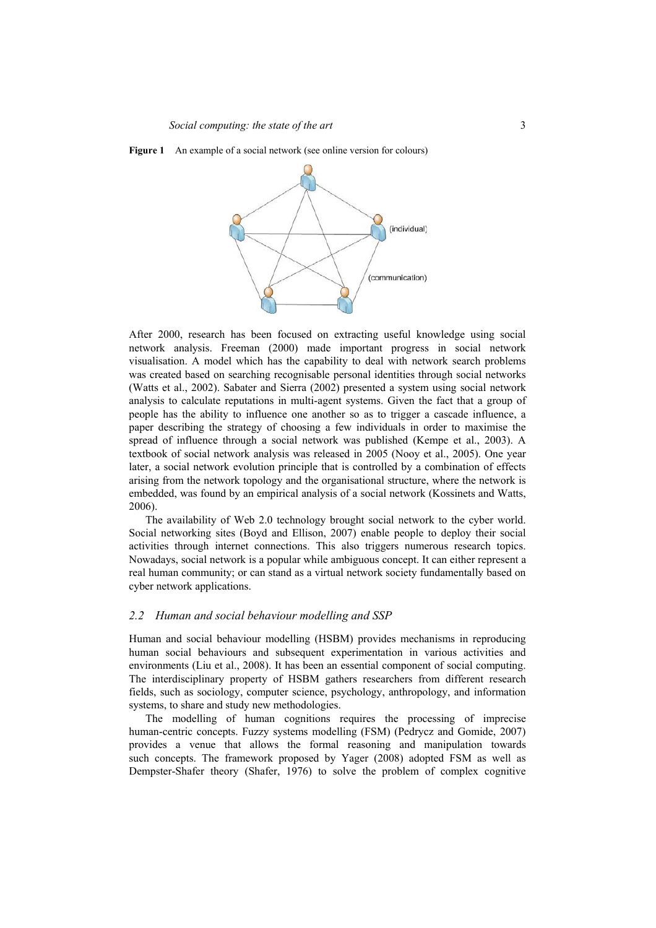

Figure 1 An example of a social network (see online version for colours)

After 2000, research has been focused on extracting useful knowledge using social network analysis. Freeman (2000) made important progress in social network visualisation. A model which has the capability to deal with network search problems was created based on searching recognisable personal identities through social networks (Watts et al., 2002). Sabater and Sierra (2002) presented a system using social network analysis to calculate reputations in multi-agent systems. Given the fact that a group of people has the ability to influence one another so as to trigger a cascade influence, a paper describing the strategy of choosing a few individuals in order to maximise the spread of influence through a social network was published (Kempe et al., 2003). A textbook of social network analysis was released in 2005 (Nooy et al., 2005). One year later, a social network evolution principle that is controlled by a combination of effects arising from the network topology and the organisational structure, where the network is embedded, was found by an empirical analysis of a social network (Kossinets and Watts, 2006).

The availability of Web 2.0 technology brought social network to the cyber world. Social networking sites (Boyd and Ellison, 2007) enable people to deploy their social activities through internet connections. This also triggers numerous research topics. Nowadays, social network is a popular while ambiguous concept. It can either represent a real human community; or can stand as a virtual network society fundamentally based on cyber network applications.

### *2.2 Human and social behaviour modelling and SSP*

Human and social behaviour modelling (HSBM) provides mechanisms in reproducing human social behaviours and subsequent experimentation in various activities and environments (Liu et al., 2008). It has been an essential component of social computing. The interdisciplinary property of HSBM gathers researchers from different research fields, such as sociology, computer science, psychology, anthropology, and information systems, to share and study new methodologies.

The modelling of human cognitions requires the processing of imprecise human-centric concepts. Fuzzy systems modelling (FSM) (Pedrycz and Gomide, 2007) provides a venue that allows the formal reasoning and manipulation towards such concepts. The framework proposed by Yager (2008) adopted FSM as well as Dempster-Shafer theory (Shafer, 1976) to solve the problem of complex cognitive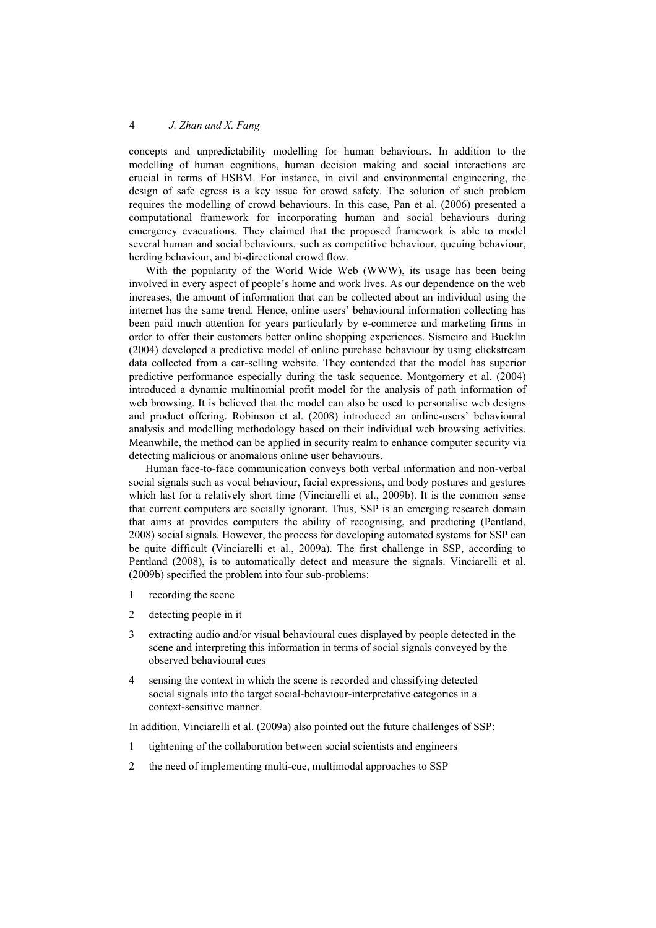concepts and unpredictability modelling for human behaviours. In addition to the modelling of human cognitions, human decision making and social interactions are crucial in terms of HSBM. For instance, in civil and environmental engineering, the design of safe egress is a key issue for crowd safety. The solution of such problem requires the modelling of crowd behaviours. In this case, Pan et al. (2006) presented a computational framework for incorporating human and social behaviours during emergency evacuations. They claimed that the proposed framework is able to model several human and social behaviours, such as competitive behaviour, queuing behaviour, herding behaviour, and bi-directional crowd flow.

With the popularity of the World Wide Web (WWW), its usage has been being involved in every aspect of people's home and work lives. As our dependence on the web increases, the amount of information that can be collected about an individual using the internet has the same trend. Hence, online users' behavioural information collecting has been paid much attention for years particularly by e-commerce and marketing firms in order to offer their customers better online shopping experiences. Sismeiro and Bucklin (2004) developed a predictive model of online purchase behaviour by using clickstream data collected from a car-selling website. They contended that the model has superior predictive performance especially during the task sequence. Montgomery et al. (2004) introduced a dynamic multinomial profit model for the analysis of path information of web browsing. It is believed that the model can also be used to personalise web designs and product offering. Robinson et al. (2008) introduced an online-users' behavioural analysis and modelling methodology based on their individual web browsing activities. Meanwhile, the method can be applied in security realm to enhance computer security via detecting malicious or anomalous online user behaviours.

Human face-to-face communication conveys both verbal information and non-verbal social signals such as vocal behaviour, facial expressions, and body postures and gestures which last for a relatively short time (Vinciarelli et al., 2009b). It is the common sense that current computers are socially ignorant. Thus, SSP is an emerging research domain that aims at provides computers the ability of recognising, and predicting (Pentland, 2008) social signals. However, the process for developing automated systems for SSP can be quite difficult (Vinciarelli et al., 2009a). The first challenge in SSP, according to Pentland (2008), is to automatically detect and measure the signals. Vinciarelli et al. (2009b) specified the problem into four sub-problems:

- 1 recording the scene
- 2 detecting people in it
- 3 extracting audio and/or visual behavioural cues displayed by people detected in the scene and interpreting this information in terms of social signals conveyed by the observed behavioural cues
- 4 sensing the context in which the scene is recorded and classifying detected social signals into the target social-behaviour-interpretative categories in a context-sensitive manner.

In addition, Vinciarelli et al. (2009a) also pointed out the future challenges of SSP:

- 1 tightening of the collaboration between social scientists and engineers
- 2 the need of implementing multi-cue, multimodal approaches to SSP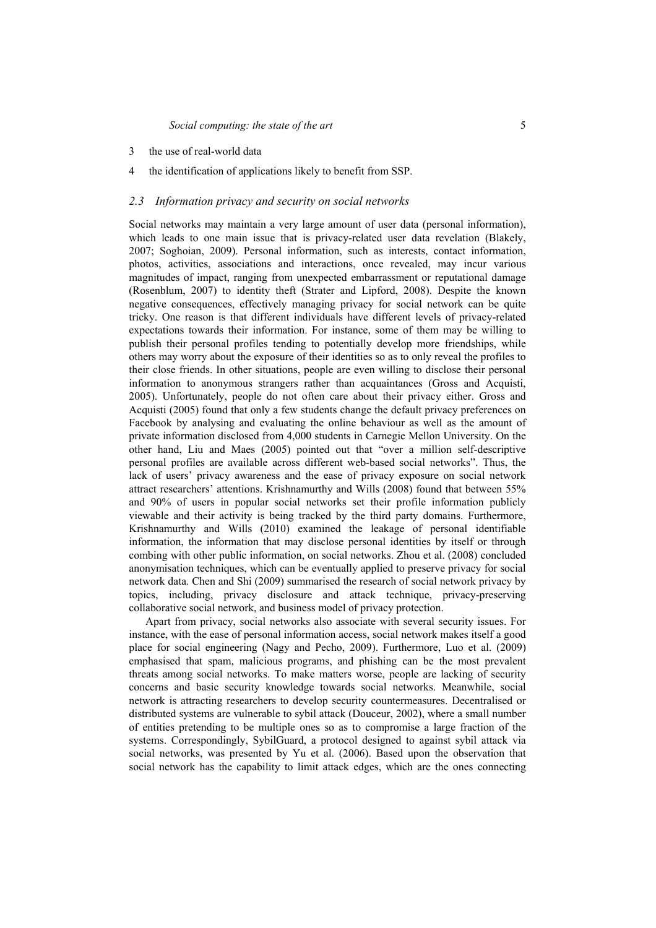- 3 the use of real-world data
- 4 the identification of applications likely to benefit from SSP.

### *2.3 Information privacy and security on social networks*

Social networks may maintain a very large amount of user data (personal information), which leads to one main issue that is privacy-related user data revelation (Blakely, 2007; Soghoian, 2009). Personal information, such as interests, contact information, photos, activities, associations and interactions, once revealed, may incur various magnitudes of impact, ranging from unexpected embarrassment or reputational damage (Rosenblum, 2007) to identity theft (Strater and Lipford, 2008). Despite the known negative consequences, effectively managing privacy for social network can be quite tricky. One reason is that different individuals have different levels of privacy-related expectations towards their information. For instance, some of them may be willing to publish their personal profiles tending to potentially develop more friendships, while others may worry about the exposure of their identities so as to only reveal the profiles to their close friends. In other situations, people are even willing to disclose their personal information to anonymous strangers rather than acquaintances (Gross and Acquisti, 2005). Unfortunately, people do not often care about their privacy either. Gross and Acquisti (2005) found that only a few students change the default privacy preferences on Facebook by analysing and evaluating the online behaviour as well as the amount of private information disclosed from 4,000 students in Carnegie Mellon University. On the other hand, Liu and Maes (2005) pointed out that "over a million self-descriptive personal profiles are available across different web-based social networks". Thus, the lack of users' privacy awareness and the ease of privacy exposure on social network attract researchers' attentions. Krishnamurthy and Wills (2008) found that between 55% and 90% of users in popular social networks set their profile information publicly viewable and their activity is being tracked by the third party domains. Furthermore, Krishnamurthy and Wills (2010) examined the leakage of personal identifiable information, the information that may disclose personal identities by itself or through combing with other public information, on social networks. Zhou et al. (2008) concluded anonymisation techniques, which can be eventually applied to preserve privacy for social network data. Chen and Shi (2009) summarised the research of social network privacy by topics, including, privacy disclosure and attack technique, privacy-preserving collaborative social network, and business model of privacy protection.

Apart from privacy, social networks also associate with several security issues. For instance, with the ease of personal information access, social network makes itself a good place for social engineering (Nagy and Pecho, 2009). Furthermore, Luo et al. (2009) emphasised that spam, malicious programs, and phishing can be the most prevalent threats among social networks. To make matters worse, people are lacking of security concerns and basic security knowledge towards social networks. Meanwhile, social network is attracting researchers to develop security countermeasures. Decentralised or distributed systems are vulnerable to sybil attack (Douceur, 2002), where a small number of entities pretending to be multiple ones so as to compromise a large fraction of the systems. Correspondingly, SybilGuard, a protocol designed to against sybil attack via social networks, was presented by Yu et al. (2006). Based upon the observation that social network has the capability to limit attack edges, which are the ones connecting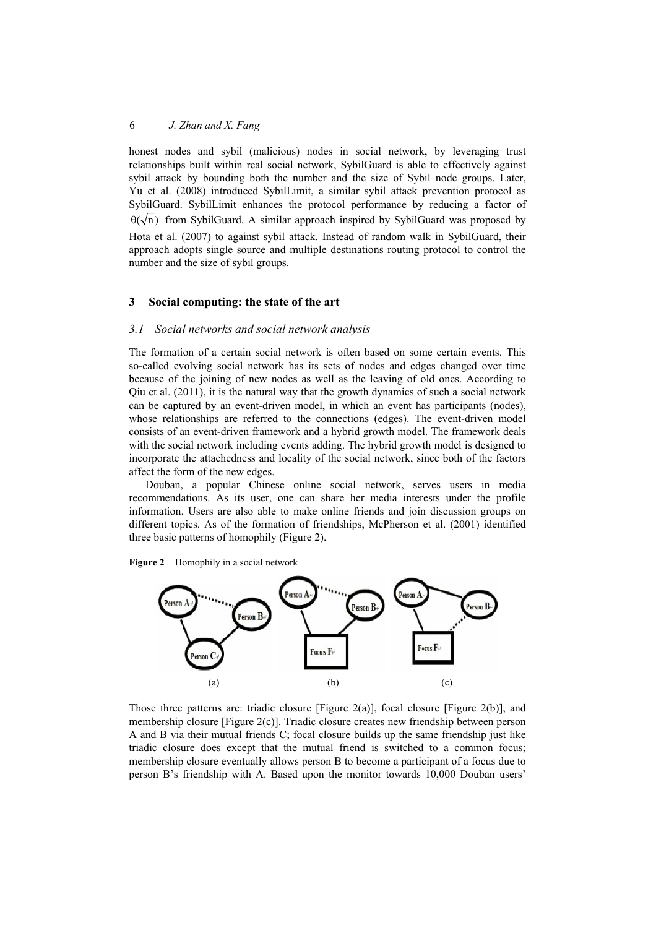honest nodes and sybil (malicious) nodes in social network, by leveraging trust relationships built within real social network, SybilGuard is able to effectively against sybil attack by bounding both the number and the size of Sybil node groups. Later, Yu et al. (2008) introduced SybilLimit, a similar sybil attack prevention protocol as SybilGuard. SybilLimit enhances the protocol performance by reducing a factor of  $\theta(\sqrt{n})$  from SybilGuard. A similar approach inspired by SybilGuard was proposed by Hota et al. (2007) to against sybil attack. Instead of random walk in SybilGuard, their approach adopts single source and multiple destinations routing protocol to control the number and the size of sybil groups.

#### **3 Social computing: the state of the art**

#### *3.1 Social networks and social network analysis*

The formation of a certain social network is often based on some certain events. This so-called evolving social network has its sets of nodes and edges changed over time because of the joining of new nodes as well as the leaving of old ones. According to Qiu et al. (2011), it is the natural way that the growth dynamics of such a social network can be captured by an event-driven model, in which an event has participants (nodes), whose relationships are referred to the connections (edges). The event-driven model consists of an event-driven framework and a hybrid growth model. The framework deals with the social network including events adding. The hybrid growth model is designed to incorporate the attachedness and locality of the social network, since both of the factors affect the form of the new edges.

Douban, a popular Chinese online social network, serves users in media recommendations. As its user, one can share her media interests under the profile information. Users are also able to make online friends and join discussion groups on different topics. As of the formation of friendships, McPherson et al. (2001) identified three basic patterns of homophily (Figure 2).

**Figure 2** Homophily in a social network



Those three patterns are: triadic closure [Figure 2(a)], focal closure [Figure 2(b)], and membership closure [Figure 2(c)]. Triadic closure creates new friendship between person A and B via their mutual friends C; focal closure builds up the same friendship just like triadic closure does except that the mutual friend is switched to a common focus; membership closure eventually allows person B to become a participant of a focus due to person B's friendship with A. Based upon the monitor towards 10,000 Douban users'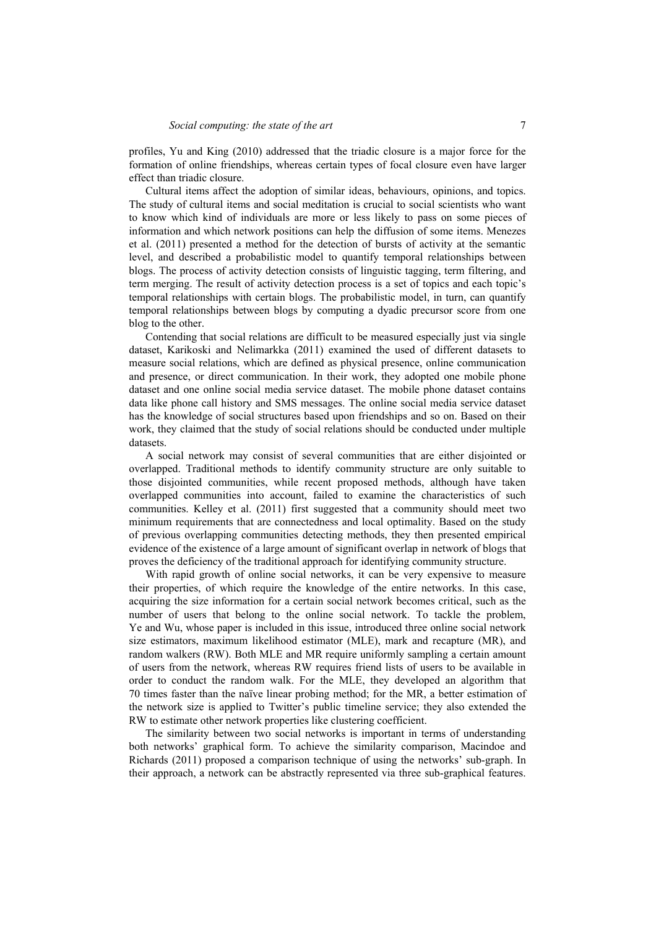profiles, Yu and King (2010) addressed that the triadic closure is a major force for the formation of online friendships, whereas certain types of focal closure even have larger effect than triadic closure.

Cultural items affect the adoption of similar ideas, behaviours, opinions, and topics. The study of cultural items and social meditation is crucial to social scientists who want to know which kind of individuals are more or less likely to pass on some pieces of information and which network positions can help the diffusion of some items. Menezes et al. (2011) presented a method for the detection of bursts of activity at the semantic level, and described a probabilistic model to quantify temporal relationships between blogs. The process of activity detection consists of linguistic tagging, term filtering, and term merging. The result of activity detection process is a set of topics and each topic's temporal relationships with certain blogs. The probabilistic model, in turn, can quantify temporal relationships between blogs by computing a dyadic precursor score from one blog to the other.

Contending that social relations are difficult to be measured especially just via single dataset, Karikoski and Nelimarkka (2011) examined the used of different datasets to measure social relations, which are defined as physical presence, online communication and presence, or direct communication. In their work, they adopted one mobile phone dataset and one online social media service dataset. The mobile phone dataset contains data like phone call history and SMS messages. The online social media service dataset has the knowledge of social structures based upon friendships and so on. Based on their work, they claimed that the study of social relations should be conducted under multiple datasets.

A social network may consist of several communities that are either disjointed or overlapped. Traditional methods to identify community structure are only suitable to those disjointed communities, while recent proposed methods, although have taken overlapped communities into account, failed to examine the characteristics of such communities. Kelley et al. (2011) first suggested that a community should meet two minimum requirements that are connectedness and local optimality. Based on the study of previous overlapping communities detecting methods, they then presented empirical evidence of the existence of a large amount of significant overlap in network of blogs that proves the deficiency of the traditional approach for identifying community structure.

With rapid growth of online social networks, it can be very expensive to measure their properties, of which require the knowledge of the entire networks. In this case, acquiring the size information for a certain social network becomes critical, such as the number of users that belong to the online social network. To tackle the problem, Ye and Wu, whose paper is included in this issue, introduced three online social network size estimators, maximum likelihood estimator (MLE), mark and recapture (MR), and random walkers (RW). Both MLE and MR require uniformly sampling a certain amount of users from the network, whereas RW requires friend lists of users to be available in order to conduct the random walk. For the MLE, they developed an algorithm that 70 times faster than the naïve linear probing method; for the MR, a better estimation of the network size is applied to Twitter's public timeline service; they also extended the RW to estimate other network properties like clustering coefficient.

The similarity between two social networks is important in terms of understanding both networks' graphical form. To achieve the similarity comparison, Macindoe and Richards (2011) proposed a comparison technique of using the networks' sub-graph. In their approach, a network can be abstractly represented via three sub-graphical features.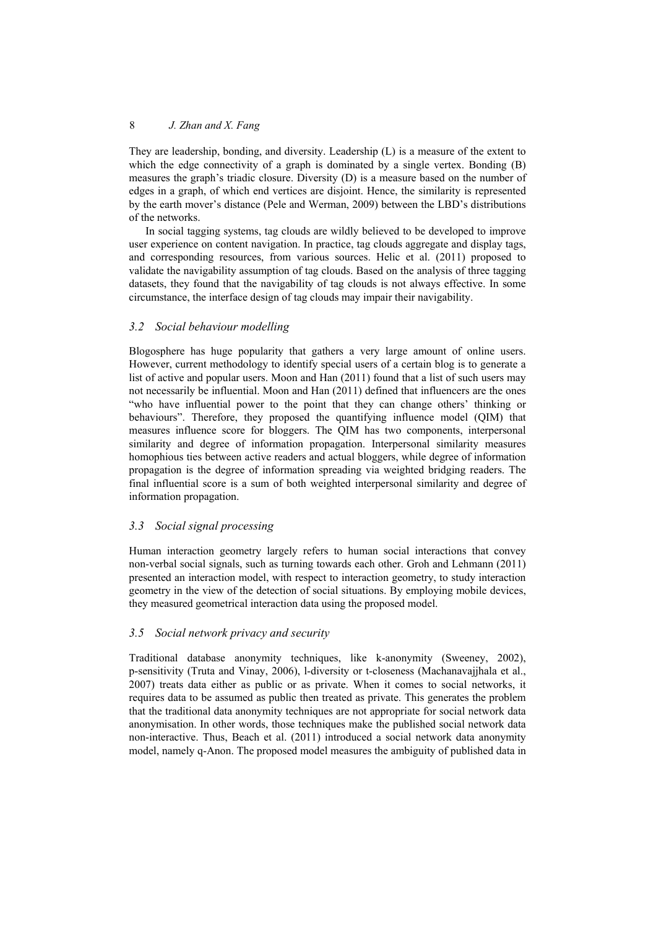They are leadership, bonding, and diversity. Leadership (L) is a measure of the extent to which the edge connectivity of a graph is dominated by a single vertex. Bonding (B) measures the graph's triadic closure. Diversity (D) is a measure based on the number of edges in a graph, of which end vertices are disjoint. Hence, the similarity is represented by the earth mover's distance (Pele and Werman, 2009) between the LBD's distributions of the networks.

In social tagging systems, tag clouds are wildly believed to be developed to improve user experience on content navigation. In practice, tag clouds aggregate and display tags, and corresponding resources, from various sources. Helic et al. (2011) proposed to validate the navigability assumption of tag clouds. Based on the analysis of three tagging datasets, they found that the navigability of tag clouds is not always effective. In some circumstance, the interface design of tag clouds may impair their navigability.

#### *3.2 Social behaviour modelling*

Blogosphere has huge popularity that gathers a very large amount of online users. However, current methodology to identify special users of a certain blog is to generate a list of active and popular users. Moon and Han (2011) found that a list of such users may not necessarily be influential. Moon and Han (2011) defined that influencers are the ones "who have influential power to the point that they can change others' thinking or behaviours". Therefore, they proposed the quantifying influence model (QIM) that measures influence score for bloggers. The QIM has two components, interpersonal similarity and degree of information propagation. Interpersonal similarity measures homophious ties between active readers and actual bloggers, while degree of information propagation is the degree of information spreading via weighted bridging readers. The final influential score is a sum of both weighted interpersonal similarity and degree of information propagation.

### *3.3 Social signal processing*

Human interaction geometry largely refers to human social interactions that convey non-verbal social signals, such as turning towards each other. Groh and Lehmann (2011) presented an interaction model, with respect to interaction geometry, to study interaction geometry in the view of the detection of social situations. By employing mobile devices, they measured geometrical interaction data using the proposed model.

# *3.5 Social network privacy and security*

Traditional database anonymity techniques, like k-anonymity (Sweeney, 2002), p-sensitivity (Truta and Vinay, 2006), l-diversity or t-closeness (Machanavajjhala et al., 2007) treats data either as public or as private. When it comes to social networks, it requires data to be assumed as public then treated as private. This generates the problem that the traditional data anonymity techniques are not appropriate for social network data anonymisation. In other words, those techniques make the published social network data non-interactive. Thus, Beach et al. (2011) introduced a social network data anonymity model, namely q-Anon. The proposed model measures the ambiguity of published data in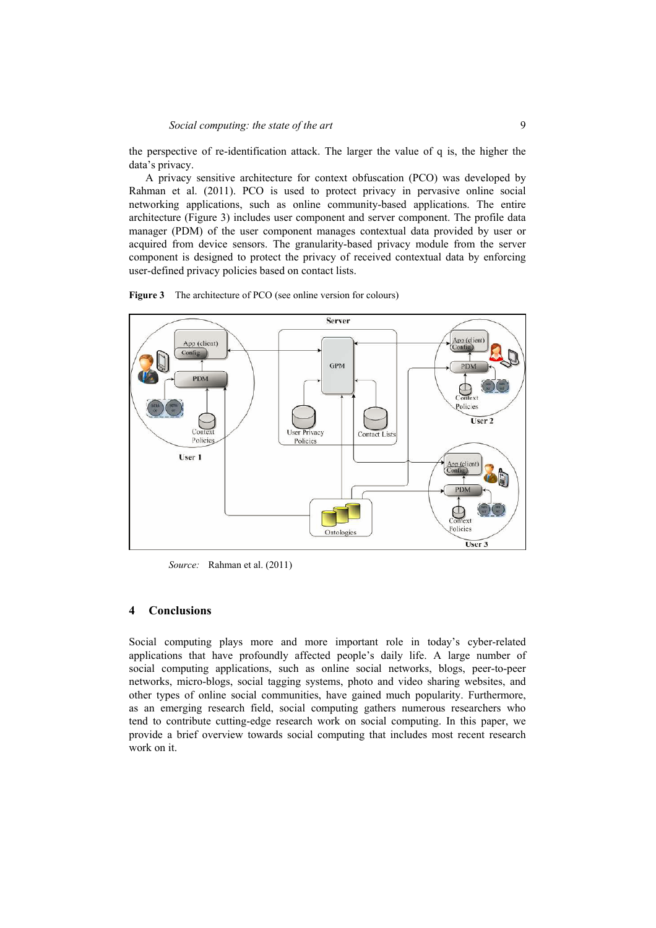the perspective of re-identification attack. The larger the value of q is, the higher the data's privacy.

A privacy sensitive architecture for context obfuscation (PCO) was developed by Rahman et al. (2011). PCO is used to protect privacy in pervasive online social networking applications, such as online community-based applications. The entire architecture (Figure 3) includes user component and server component. The profile data manager (PDM) of the user component manages contextual data provided by user or acquired from device sensors. The granularity-based privacy module from the server component is designed to protect the privacy of received contextual data by enforcing user-defined privacy policies based on contact lists.

**Figure 3** The architecture of PCO (see online version for colours)



*Source:* Rahman et al. (2011)

# **4 Conclusions**

Social computing plays more and more important role in today's cyber-related applications that have profoundly affected people's daily life. A large number of social computing applications, such as online social networks, blogs, peer-to-peer networks, micro-blogs, social tagging systems, photo and video sharing websites, and other types of online social communities, have gained much popularity. Furthermore, as an emerging research field, social computing gathers numerous researchers who tend to contribute cutting-edge research work on social computing. In this paper, we provide a brief overview towards social computing that includes most recent research work on it.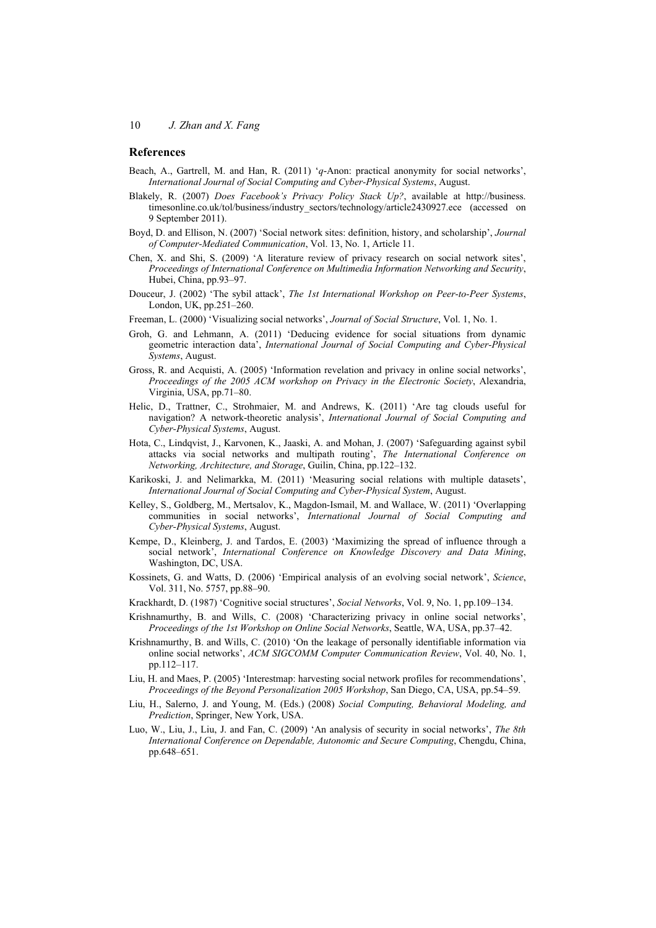### **References**

- Beach, A., Gartrell, M. and Han, R. (2011) '*q*-Anon: practical anonymity for social networks', *International Journal of Social Computing and Cyber-Physical Systems*, August.
- Blakely, R. (2007) *Does Facebook's Privacy Policy Stack Up?*, available at http://business. timesonline.co.uk/tol/business/industry\_sectors/technology/article2430927.ece (accessed on 9 September 2011).
- Boyd, D. and Ellison, N. (2007) 'Social network sites: definition, history, and scholarship', *Journal of Computer-Mediated Communication*, Vol. 13, No. 1, Article 11.
- Chen, X. and Shi, S. (2009) 'A literature review of privacy research on social network sites', *Proceedings of International Conference on Multimedia Information Networking and Security*, Hubei, China, pp.93–97.
- Douceur, J. (2002) 'The sybil attack', *The 1st International Workshop on Peer-to-Peer Systems*, London, UK, pp.251–260.
- Freeman, L. (2000) 'Visualizing social networks', *Journal of Social Structure*, Vol. 1, No. 1.
- Groh, G. and Lehmann, A. (2011) 'Deducing evidence for social situations from dynamic geometric interaction data', *International Journal of Social Computing and Cyber-Physical Systems*, August.
- Gross, R. and Acquisti, A. (2005) 'Information revelation and privacy in online social networks', *Proceedings of the 2005 ACM workshop on Privacy in the Electronic Society*, Alexandria, Virginia, USA, pp.71–80.
- Helic, D., Trattner, C., Strohmaier, M. and Andrews, K. (2011) 'Are tag clouds useful for navigation? A network-theoretic analysis', *International Journal of Social Computing and Cyber-Physical Systems*, August.
- Hota, C., Lindqvist, J., Karvonen, K., Jaaski, A. and Mohan, J. (2007) 'Safeguarding against sybil attacks via social networks and multipath routing', *The International Conference on Networking, Architecture, and Storage*, Guilin, China, pp.122–132.
- Karikoski, J. and Nelimarkka, M. (2011) 'Measuring social relations with multiple datasets', *International Journal of Social Computing and Cyber-Physical System*, August.
- Kelley, S., Goldberg, M., Mertsalov, K., Magdon-Ismail, M. and Wallace, W. (2011) 'Overlapping communities in social networks', *International Journal of Social Computing and Cyber-Physical Systems*, August.
- Kempe, D., Kleinberg, J. and Tardos, E. (2003) 'Maximizing the spread of influence through a social network', *International Conference on Knowledge Discovery and Data Mining*, Washington, DC, USA.
- Kossinets, G. and Watts, D. (2006) 'Empirical analysis of an evolving social network', *Science*, Vol. 311, No. 5757, pp.88–90.
- Krackhardt, D. (1987) 'Cognitive social structures', *Social Networks*, Vol. 9, No. 1, pp.109–134.
- Krishnamurthy, B. and Wills, C. (2008) 'Characterizing privacy in online social networks', *Proceedings of the 1st Workshop on Online Social Networks*, Seattle, WA, USA, pp.37–42.
- Krishnamurthy, B. and Wills, C. (2010) 'On the leakage of personally identifiable information via online social networks', *ACM SIGCOMM Computer Communication Review*, Vol. 40, No. 1, pp.112–117.
- Liu, H. and Maes, P. (2005) 'Interestmap: harvesting social network profiles for recommendations', *Proceedings of the Beyond Personalization 2005 Workshop*, San Diego, CA, USA, pp.54–59.
- Liu, H., Salerno, J. and Young, M. (Eds.) (2008) *Social Computing, Behavioral Modeling, and Prediction*, Springer, New York, USA.
- Luo, W., Liu, J., Liu, J. and Fan, C. (2009) 'An analysis of security in social networks', *The 8th International Conference on Dependable, Autonomic and Secure Computing*, Chengdu, China, pp.648–651.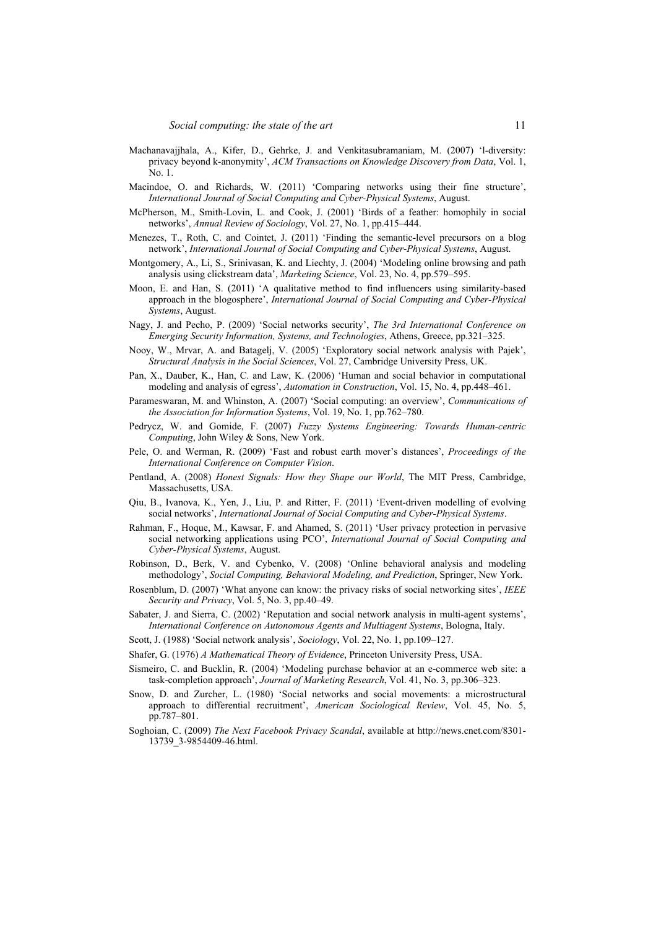- Machanavajjhala, A., Kifer, D., Gehrke, J. and Venkitasubramaniam, M. (2007) 'l-diversity: privacy beyond k-anonymity', *ACM Transactions on Knowledge Discovery from Data*, Vol. 1, No. 1.
- Macindoe, O. and Richards, W. (2011) 'Comparing networks using their fine structure', *International Journal of Social Computing and Cyber-Physical Systems*, August.
- McPherson, M., Smith-Lovin, L. and Cook, J. (2001) 'Birds of a feather: homophily in social networks', *Annual Review of Sociology*, Vol. 27, No. 1, pp.415–444.
- Menezes, T., Roth, C. and Cointet, J. (2011) 'Finding the semantic-level precursors on a blog network', *International Journal of Social Computing and Cyber-Physical Systems*, August.
- Montgomery, A., Li, S., Srinivasan, K. and Liechty, J. (2004) 'Modeling online browsing and path analysis using clickstream data', *Marketing Science*, Vol. 23, No. 4, pp.579–595.
- Moon, E. and Han, S. (2011) 'A qualitative method to find influencers using similarity-based approach in the blogosphere', *International Journal of Social Computing and Cyber-Physical Systems*, August.
- Nagy, J. and Pecho, P. (2009) 'Social networks security', *The 3rd International Conference on Emerging Security Information, Systems, and Technologies*, Athens, Greece, pp.321–325.
- Nooy, W., Mrvar, A. and Batagelj, V. (2005) 'Exploratory social network analysis with Pajek', *Structural Analysis in the Social Sciences*, Vol. 27, Cambridge University Press, UK.
- Pan, X., Dauber, K., Han, C. and Law, K. (2006) 'Human and social behavior in computational modeling and analysis of egress', *Automation in Construction*, Vol. 15, No. 4, pp.448–461.
- Parameswaran, M. and Whinston, A. (2007) 'Social computing: an overview', *Communications of the Association for Information Systems*, Vol. 19, No. 1, pp.762–780.
- Pedrycz, W. and Gomide, F. (2007) *Fuzzy Systems Engineering: Towards Human-centric Computing*, John Wiley & Sons, New York.
- Pele, O. and Werman, R. (2009) 'Fast and robust earth mover's distances', *Proceedings of the International Conference on Computer Vision*.
- Pentland, A. (2008) *Honest Signals: How they Shape our World*, The MIT Press, Cambridge, Massachusetts, USA.
- Qiu, B., Ivanova, K., Yen, J., Liu, P. and Ritter, F. (2011) 'Event-driven modelling of evolving social networks', *International Journal of Social Computing and Cyber-Physical Systems*.
- Rahman, F., Hoque, M., Kawsar, F. and Ahamed, S. (2011) 'User privacy protection in pervasive social networking applications using PCO', *International Journal of Social Computing and Cyber-Physical Systems*, August.
- Robinson, D., Berk, V. and Cybenko, V. (2008) 'Online behavioral analysis and modeling methodology', *Social Computing, Behavioral Modeling, and Prediction*, Springer, New York.
- Rosenblum, D. (2007) 'What anyone can know: the privacy risks of social networking sites', *IEEE Security and Privacy*, Vol. 5, No. 3, pp.40–49.
- Sabater, J. and Sierra, C. (2002) 'Reputation and social network analysis in multi-agent systems', *International Conference on Autonomous Agents and Multiagent Systems*, Bologna, Italy.
- Scott, J. (1988) 'Social network analysis', *Sociology*, Vol. 22, No. 1, pp.109–127.
- Shafer, G. (1976) *A Mathematical Theory of Evidence*, Princeton University Press, USA.
- Sismeiro, C. and Bucklin, R. (2004) 'Modeling purchase behavior at an e-commerce web site: a task-completion approach', *Journal of Marketing Research*, Vol. 41, No. 3, pp.306–323.
- Snow, D. and Zurcher, L. (1980) 'Social networks and social movements: a microstructural approach to differential recruitment', *American Sociological Review*, Vol. 45, No. 5, pp.787–801.
- Soghoian, C. (2009) *The Next Facebook Privacy Scandal*, available at http://news.cnet.com/8301- 13739\_3-9854409-46.html.